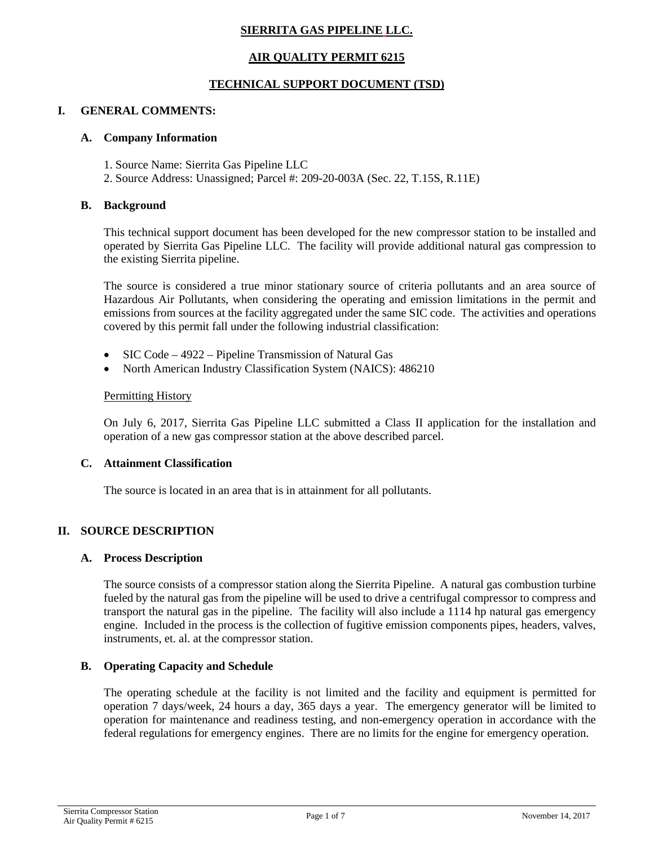# **SIERRITA GAS PIPELINE LLC.**

## **AIR QUALITY PERMIT 6215**

## **TECHNICAL SUPPORT DOCUMENT (TSD)**

## **I. GENERAL COMMENTS:**

### **A. Company Information**

- 1. Source Name: Sierrita Gas Pipeline LLC
- 2. Source Address: Unassigned; Parcel #: 209-20-003A (Sec. 22, T.15S, R.11E)

## **B. Background**

This technical support document has been developed for the new compressor station to be installed and operated by Sierrita Gas Pipeline LLC. The facility will provide additional natural gas compression to the existing Sierrita pipeline.

The source is considered a true minor stationary source of criteria pollutants and an area source of Hazardous Air Pollutants, when considering the operating and emission limitations in the permit and emissions from sources at the facility aggregated under the same SIC code. The activities and operations covered by this permit fall under the following industrial classification:

- SIC Code 4922 Pipeline Transmission of Natural Gas
- North American Industry Classification System (NAICS): 486210

### Permitting History

On July 6, 2017, Sierrita Gas Pipeline LLC submitted a Class II application for the installation and operation of a new gas compressor station at the above described parcel.

### **C. Attainment Classification**

The source is located in an area that is in attainment for all pollutants.

## **II. SOURCE DESCRIPTION**

### **A. Process Description**

The source consists of a compressor station along the Sierrita Pipeline. A natural gas combustion turbine fueled by the natural gas from the pipeline will be used to drive a centrifugal compressor to compress and transport the natural gas in the pipeline. The facility will also include a 1114 hp natural gas emergency engine. Included in the process is the collection of fugitive emission components pipes, headers, valves, instruments, et. al. at the compressor station.

## **B. Operating Capacity and Schedule**

The operating schedule at the facility is not limited and the facility and equipment is permitted for operation 7 days/week, 24 hours a day, 365 days a year. The emergency generator will be limited to operation for maintenance and readiness testing, and non-emergency operation in accordance with the federal regulations for emergency engines. There are no limits for the engine for emergency operation.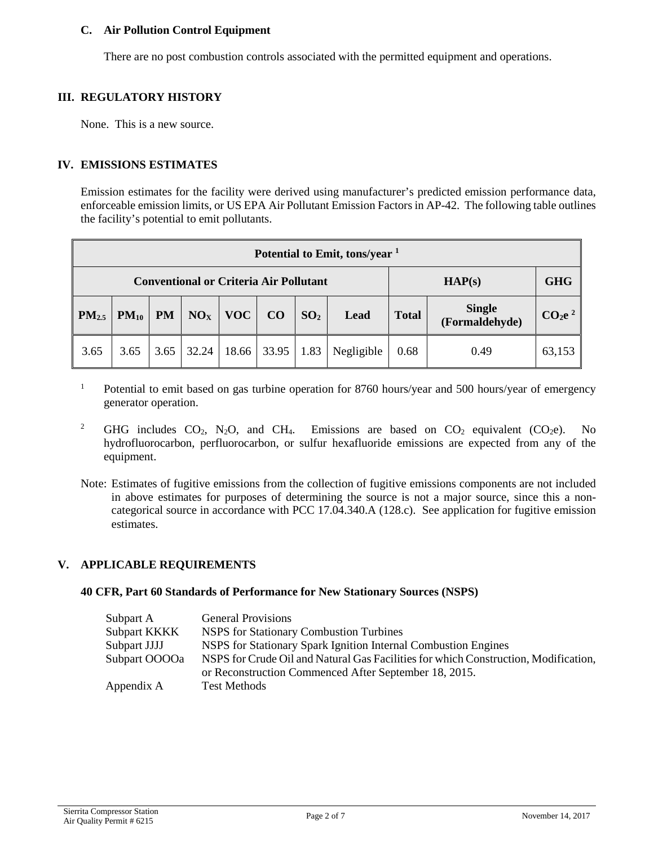## **C. Air Pollution Control Equipment**

There are no post combustion controls associated with the permitted equipment and operations.

## **III. REGULATORY HISTORY**

None. This is a new source.

## **IV. EMISSIONS ESTIMATES**

Emission estimates for the facility were derived using manufacturer's predicted emission performance data, enforceable emission limits, or US EPA Air Pollutant Emission Factors in AP-42. The following table outlines the facility's potential to emit pollutants.

| Potential to Emit, tons/year <sup>1</sup>     |           |           |                 |            |       |                 |            |              |                                 |                                |
|-----------------------------------------------|-----------|-----------|-----------------|------------|-------|-----------------|------------|--------------|---------------------------------|--------------------------------|
| <b>Conventional or Criteria Air Pollutant</b> |           |           |                 | HAP(s)     |       | <b>GHG</b>      |            |              |                                 |                                |
| PM <sub>2.5</sub>                             | $PM_{10}$ | <b>PM</b> | NO <sub>X</sub> | <b>VOC</b> | CO    | SO <sub>2</sub> | Lead       | <b>Total</b> | <b>Single</b><br>(Formaldehyde) | CO <sub>2</sub> e <sup>2</sup> |
| 3.65                                          | 3.65      | 3.65      | 32.24           | 18.66      | 33.95 | 1.83            | Negligible | 0.68         | 0.49                            | 63,153                         |

- <sup>1</sup> Potential to emit based on gas turbine operation for 8760 hours/year and 500 hours/year of emergency generator operation.
- <sup>2</sup> GHG includes CO<sub>2</sub>, N<sub>2</sub>O, and CH<sub>4</sub>. Emissions are based on CO<sub>2</sub> equivalent (CO<sub>2</sub>e). No hydrofluorocarbon, perfluorocarbon, or sulfur hexafluoride emissions are expected from any of the equipment.
- Note: Estimates of fugitive emissions from the collection of fugitive emissions components are not included in above estimates for purposes of determining the source is not a major source, since this a noncategorical source in accordance with PCC 17.04.340.A (128.c). See application for fugitive emission estimates.

### **V. APPLICABLE REQUIREMENTS**

#### **40 CFR, Part 60 Standards of Performance for New Stationary Sources (NSPS)**

| Subpart A     | <b>General Provisions</b>                                                           |
|---------------|-------------------------------------------------------------------------------------|
| Subpart KKKK  | NSPS for Stationary Combustion Turbines                                             |
| Subpart JJJJ  | NSPS for Stationary Spark Ignition Internal Combustion Engines                      |
| Subpart OOOOa | NSPS for Crude Oil and Natural Gas Facilities for which Construction, Modification, |
|               | or Reconstruction Commenced After September 18, 2015.                               |
| Appendix A    | <b>Test Methods</b>                                                                 |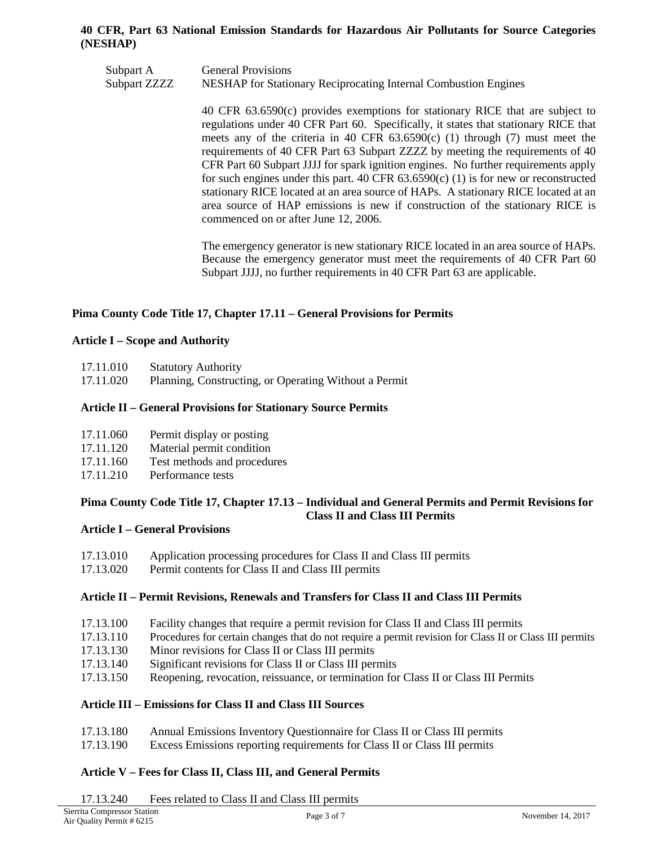## **40 CFR, Part 63 National Emission Standards for Hazardous Air Pollutants for Source Categories (NESHAP)**

Subpart A General Provisions Subpart ZZZZ NESHAP for Stationary Reciprocating Internal Combustion Engines

> 40 CFR 63.6590(c) provides exemptions for stationary RICE that are subject to regulations under 40 CFR Part 60. Specifically, it states that stationary RICE that meets any of the criteria in 40 CFR  $63.6590(c)$  (1) through (7) must meet the requirements of 40 CFR Part 63 Subpart ZZZZ by meeting the requirements of 40 CFR Part 60 Subpart JJJJ for spark ignition engines. No further requirements apply for such engines under this part. 40 CFR  $63.6590(c)$  (1) is for new or reconstructed stationary RICE located at an area source of HAPs. A stationary RICE located at an area source of HAP emissions is new if construction of the stationary RICE is commenced on or after June 12, 2006.

> The emergency generator is new stationary RICE located in an area source of HAPs. Because the emergency generator must meet the requirements of 40 CFR Part 60 Subpart JJJJ, no further requirements in 40 CFR Part 63 are applicable.

## **Pima County Code Title 17, Chapter 17.11 – General Provisions for Permits**

### **Article I – Scope and Authority**

| 17.11.010 | <b>Statutory Authority</b> |
|-----------|----------------------------|
|-----------|----------------------------|

17.11.020 Planning, Constructing, or Operating Without a Permit

## **Article II – General Provisions for Stationary Source Permits**

| 17.11.060 | Permit display or posting |  |
|-----------|---------------------------|--|
|-----------|---------------------------|--|

- 17.11.120 Material permit condition
- 17.11.160 Test methods and procedures
- 17.11.210 Performance tests

### **Pima County Code Title 17, Chapter 17.13 – Individual and General Permits and Permit Revisions for Class II and Class III Permits**

### **Article I – General Provisions**

- 17.13.010 Application processing procedures for Class II and Class III permits
- 17.13.020 Permit contents for Class II and Class III permits

### **Article II – Permit Revisions, Renewals and Transfers for Class II and Class III Permits**

- 17.13.100 Facility changes that require a permit revision for Class II and Class III permits
- 17.13.110 Procedures for certain changes that do not require a permit revision for Class II or Class III permits
- 17.13.130 Minor revisions for Class II or Class III permits
- 17.13.140 Significant revisions for Class II or Class III permits
- 17.13.150 Reopening, revocation, reissuance, or termination for Class II or Class III Permits

### **Article III – Emissions for Class II and Class III Sources**

- 17.13.180 Annual Emissions Inventory Questionnaire for Class II or Class III permits
- 17.13.190 Excess Emissions reporting requirements for Class II or Class III permits

## **Article V – Fees for Class II, Class III, and General Permits**

17.13.240 Fees related to Class II and Class III permits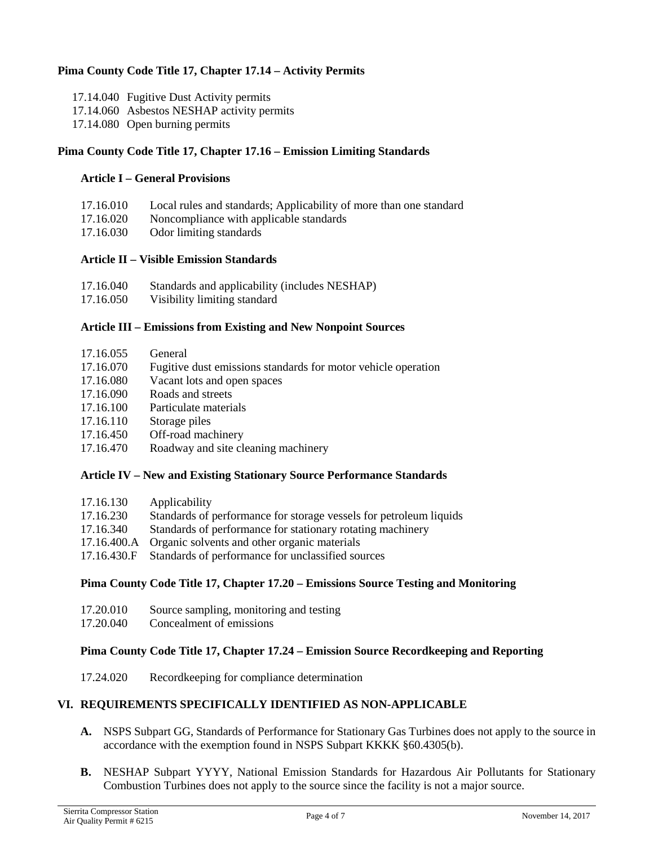## **Pima County Code Title 17, Chapter 17.14 – Activity Permits**

- 17.14.040 Fugitive Dust Activity permits
- 17.14.060 Asbestos NESHAP activity permits
- 17.14.080 Open burning permits

## **Pima County Code Title 17, Chapter 17.16 – Emission Limiting Standards**

### **Article I – General Provisions**

| 17.16.010 | Local rules and standards; Applicability of more than one standard |
|-----------|--------------------------------------------------------------------|
| 17.16.020 | Noncompliance with applicable standards                            |
| 17.16.030 | Odor limiting standards                                            |

### **Article II – Visible Emission Standards**

| 17.16.040 | Standards and applicability (includes NESHAP) |
|-----------|-----------------------------------------------|
| 17.16.050 | Visibility limiting standard                  |

# **Article III – Emissions from Existing and New Nonpoint Sources**

| 17.16.055 | General |
|-----------|---------|
|           |         |

- 17.16.070 Fugitive dust emissions standards for motor vehicle operation
- 17.16.080 Vacant lots and open spaces
- 17.16.090 Roads and streets
- 17.16.100 Particulate materials
- 17.16.110 Storage piles
- 17.16.450 Off-road machinery
- 17.16.470 Roadway and site cleaning machinery

### **Article IV – New and Existing Stationary Source Performance Standards**

| 17.16.130 | Applicability                                                      |
|-----------|--------------------------------------------------------------------|
| 17.16.230 | Standards of performance for storage vessels for petroleum liquids |
| 17.16.340 | Standards of performance for stationary rotating machinery         |
|           | 17.16.400.A Organic solvents and other organic materials           |
|           | 17.16.430.F Standards of performance for unclassified sources      |

### **Pima County Code Title 17, Chapter 17.20 – Emissions Source Testing and Monitoring**

- 17.20.010 Source sampling, monitoring and testing
- 17.20.040 Concealment of emissions

## **Pima County Code Title 17, Chapter 17.24 – Emission Source Recordkeeping and Reporting**

17.24.020 Recordkeeping for compliance determination

### **VI. REQUIREMENTS SPECIFICALLY IDENTIFIED AS NON-APPLICABLE**

- **A.** NSPS Subpart GG, Standards of Performance for Stationary Gas Turbines does not apply to the source in accordance with the exemption found in NSPS Subpart KKKK §60.4305(b).
- **B.** NESHAP Subpart YYYY, National Emission Standards for Hazardous Air Pollutants for Stationary Combustion Turbines does not apply to the source since the facility is not a major source.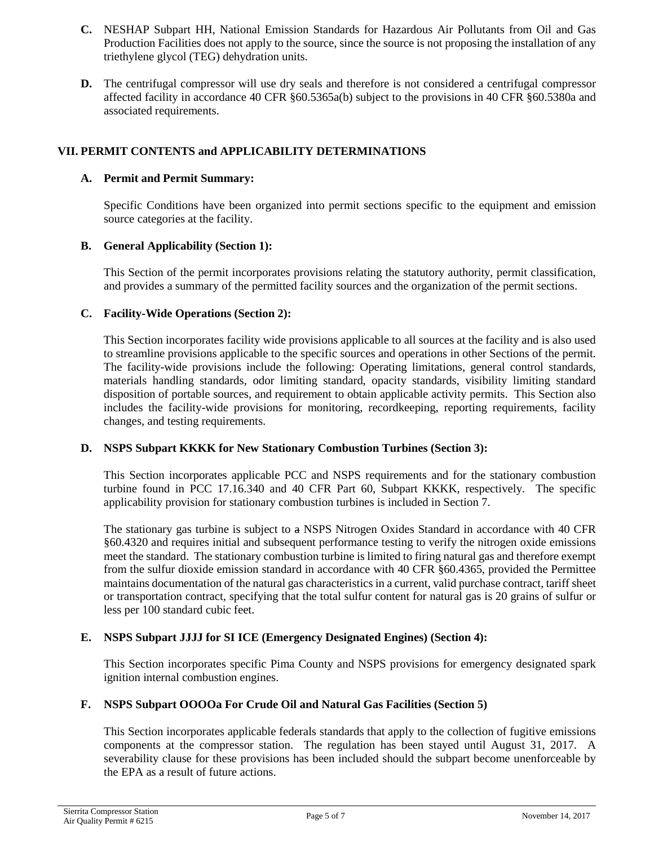- **C.** NESHAP Subpart HH, National Emission Standards for Hazardous Air Pollutants from Oil and Gas Production Facilities does not apply to the source, since the source is not proposing the installation of any triethylene glycol (TEG) dehydration units.
- **D.** The centrifugal compressor will use dry seals and therefore is not considered a centrifugal compressor affected facility in accordance 40 CFR §60.5365a(b) subject to the provisions in 40 CFR §60.5380a and associated requirements.

## **VII. PERMIT CONTENTS and APPLICABILITY DETERMINATIONS**

## **A. Permit and Permit Summary:**

Specific Conditions have been organized into permit sections specific to the equipment and emission source categories at the facility.

## **B. General Applicability (Section 1):**

This Section of the permit incorporates provisions relating the statutory authority, permit classification, and provides a summary of the permitted facility sources and the organization of the permit sections.

## **C. Facility-Wide Operations (Section 2):**

This Section incorporates facility wide provisions applicable to all sources at the facility and is also used to streamline provisions applicable to the specific sources and operations in other Sections of the permit. The facility-wide provisions include the following: Operating limitations, general control standards, materials handling standards, odor limiting standard, opacity standards, visibility limiting standard disposition of portable sources, and requirement to obtain applicable activity permits. This Section also includes the facility-wide provisions for monitoring, recordkeeping, reporting requirements, facility changes, and testing requirements.

### **D. NSPS Subpart KKKK for New Stationary Combustion Turbines (Section 3):**

This Section incorporates applicable PCC and NSPS requirements and for the stationary combustion turbine found in PCC 17.16.340 and 40 CFR Part 60, Subpart KKKK, respectively. The specific applicability provision for stationary combustion turbines is included in Section 7.

The stationary gas turbine is subject to a NSPS Nitrogen Oxides Standard in accordance with 40 CFR §60.4320 and requires initial and subsequent performance testing to verify the nitrogen oxide emissions meet the standard. The stationary combustion turbine is limited to firing natural gas and therefore exempt from the sulfur dioxide emission standard in accordance with 40 CFR §60.4365, provided the Permittee maintains documentation of the natural gas characteristics in a current, valid purchase contract, tariff sheet or transportation contract, specifying that the total sulfur content for natural gas is 20 grains of sulfur or less per 100 standard cubic feet.

## **E. NSPS Subpart JJJJ for SI ICE (Emergency Designated Engines) (Section 4):**

This Section incorporates specific Pima County and NSPS provisions for emergency designated spark ignition internal combustion engines.

## **F. NSPS Subpart OOOOa For Crude Oil and Natural Gas Facilities (Section 5)**

This Section incorporates applicable federals standards that apply to the collection of fugitive emissions components at the compressor station. The regulation has been stayed until August 31, 2017. A severability clause for these provisions has been included should the subpart become unenforceable by the EPA as a result of future actions.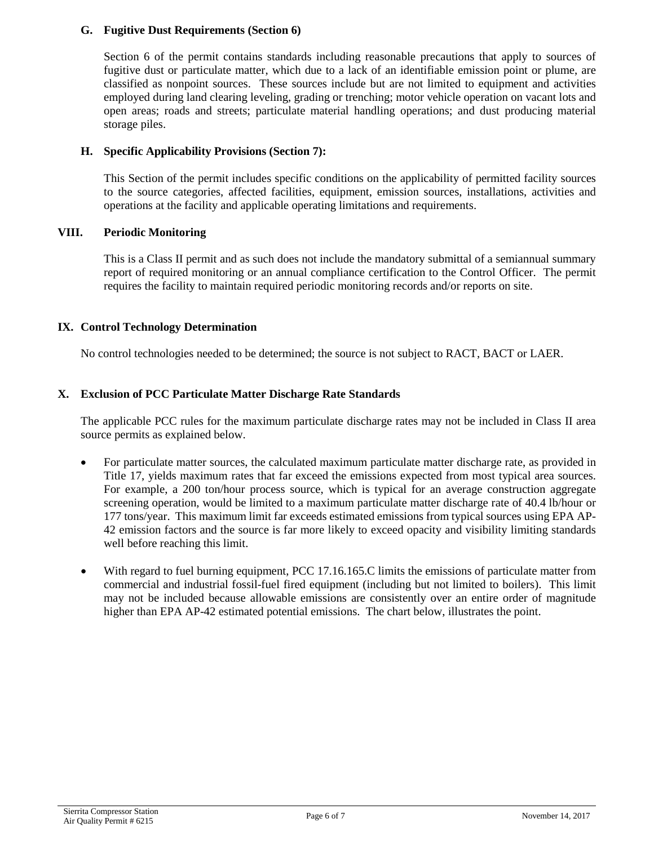## **G. Fugitive Dust Requirements (Section 6)**

Section 6 of the permit contains standards including reasonable precautions that apply to sources of fugitive dust or particulate matter, which due to a lack of an identifiable emission point or plume, are classified as nonpoint sources. These sources include but are not limited to equipment and activities employed during land clearing leveling, grading or trenching; motor vehicle operation on vacant lots and open areas; roads and streets; particulate material handling operations; and dust producing material storage piles.

## **H. Specific Applicability Provisions (Section 7):**

This Section of the permit includes specific conditions on the applicability of permitted facility sources to the source categories, affected facilities, equipment, emission sources, installations, activities and operations at the facility and applicable operating limitations and requirements.

## **VIII. Periodic Monitoring**

This is a Class II permit and as such does not include the mandatory submittal of a semiannual summary report of required monitoring or an annual compliance certification to the Control Officer. The permit requires the facility to maintain required periodic monitoring records and/or reports on site.

## **IX. Control Technology Determination**

No control technologies needed to be determined; the source is not subject to RACT, BACT or LAER.

## **X. Exclusion of PCC Particulate Matter Discharge Rate Standards**

The applicable PCC rules for the maximum particulate discharge rates may not be included in Class II area source permits as explained below.

- For particulate matter sources, the calculated maximum particulate matter discharge rate, as provided in Title 17, yields maximum rates that far exceed the emissions expected from most typical area sources. For example, a 200 ton/hour process source, which is typical for an average construction aggregate screening operation, would be limited to a maximum particulate matter discharge rate of 40.4 lb/hour or 177 tons/year. This maximum limit far exceeds estimated emissions from typical sources using EPA AP-42 emission factors and the source is far more likely to exceed opacity and visibility limiting standards well before reaching this limit.
- With regard to fuel burning equipment, PCC 17.16.165.C limits the emissions of particulate matter from commercial and industrial fossil-fuel fired equipment (including but not limited to boilers). This limit may not be included because allowable emissions are consistently over an entire order of magnitude higher than EPA AP-42 estimated potential emissions. The chart below, illustrates the point.